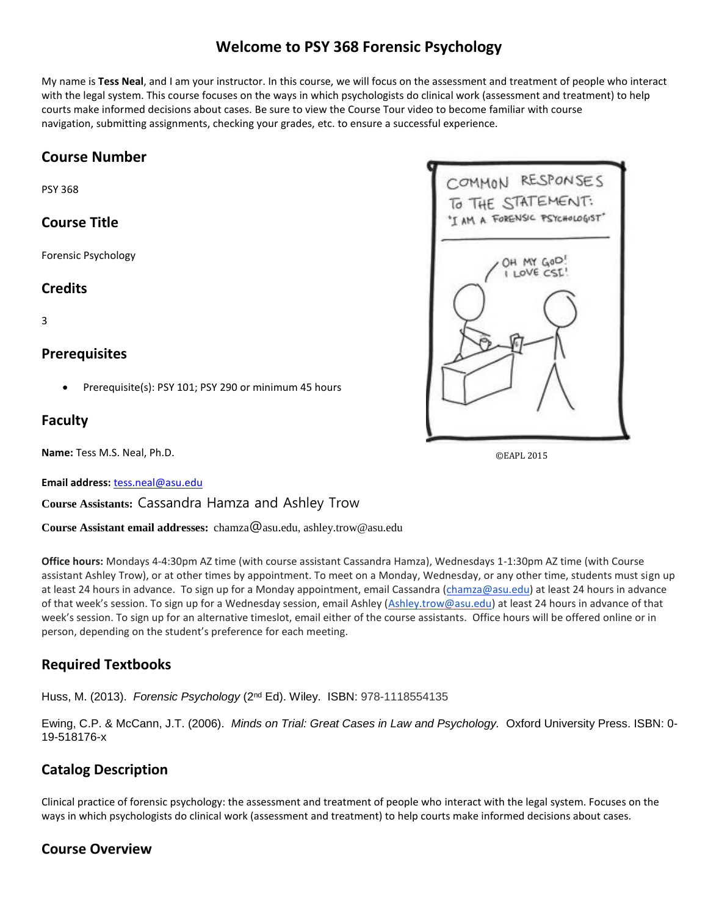# **Welcome to PSY 368 Forensic Psychology**

My name is **Tess Neal**, and I am your instructor. In this course, we will focus on the assessment and treatment of people who interact with the legal system. This course focuses on the ways in which psychologists do clinical work (assessment and treatment) to help courts make informed decisions about cases. Be sure to view the Course Tour video to become familiar with course navigation, submitting assignments, checking your grades, etc. to ensure a successful experience.

# **Course Number**

PSY 368

# **Course Title**

Forensic Psychology

## **Credits**

3

## **Prerequisites**

Prerequisite(s): PSY 101; PSY 290 or minimum 45 hours

# **Faculty**

**Name:** Tess M.S. Neal, Ph.D.

**Email address:** [tess.neal@asu.edu](mailto:tess.neal@asu.edu)

**Course Assistants:** Cassandra Hamza and Ashley Trow

**Course Assistant email addresses:** chamza@asu.edu, ashley.trow@asu.edu

**Office hours:** Mondays 4-4:30pm AZ time (with course assistant Cassandra Hamza), Wednesdays 1-1:30pm AZ time (with Course assistant Ashley Trow), or at other times by appointment. To meet on a Monday, Wednesday, or any other time, students must sign up at least 24 hours in advance. To sign up for a Monday appointment, email Cassandra [\(chamza@asu.edu\)](mailto:chamza@asu.edu) at least 24 hours in advance of that week's session. To sign up for a Wednesday session, email Ashley ([Ashley.trow@asu.edu\)](mailto:Ashley.trow@asu.edu) at least 24 hours in advance of that week's session. To sign up for an alternative timeslot, email either of the course assistants. Office hours will be offered online or in person, depending on the student's preference for each meeting.

# **Required Textbooks**

Huss, M. (2013). *Forensic Psychology* (2nd Ed). Wiley. ISBN: 978-1118554135

Ewing, C.P. & McCann, J.T. (2006). *Minds on Trial: Great Cases in Law and Psychology.* Oxford University Press. ISBN: 0- 19-518176-x

# **Catalog Description**

Clinical practice of forensic psychology: the assessment and treatment of people who interact with the legal system. Focuses on the ways in which psychologists do clinical work (assessment and treatment) to help courts make informed decisions about cases.

# **Course Overview**



©EAPL 2015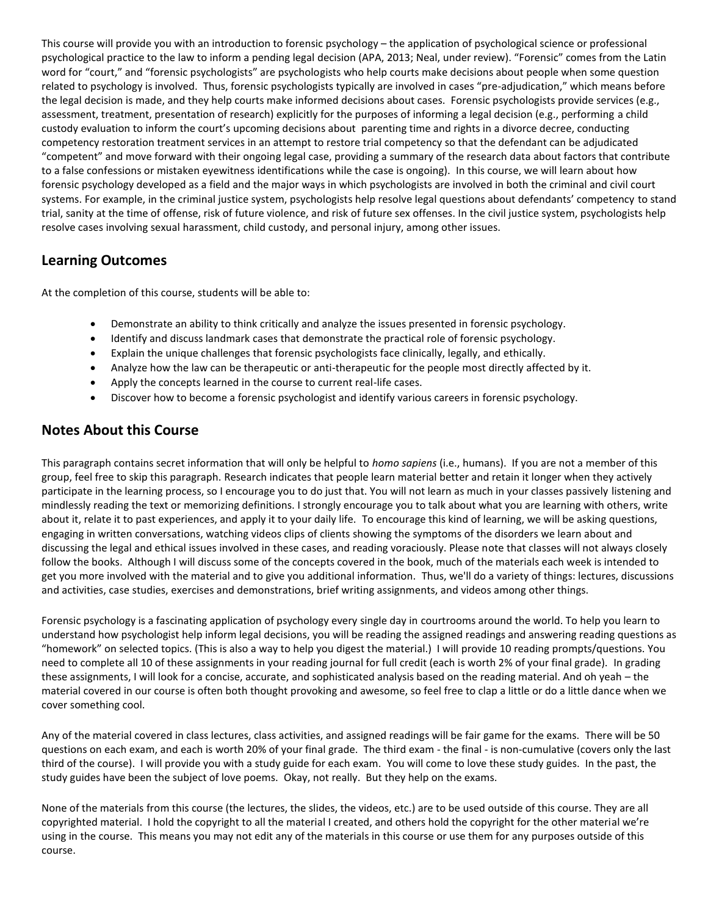This course will provide you with an introduction to forensic psychology – the application of psychological science or professional psychological practice to the law to inform a pending legal decision (APA, 2013; Neal, under review). "Forensic" comes from the Latin word for "court," and "forensic psychologists" are psychologists who help courts make decisions about people when some question related to psychology is involved. Thus, forensic psychologists typically are involved in cases "pre-adjudication," which means before the legal decision is made, and they help courts make informed decisions about cases. Forensic psychologists provide services (e.g., assessment, treatment, presentation of research) explicitly for the purposes of informing a legal decision (e.g., performing a child custody evaluation to inform the court's upcoming decisions about parenting time and rights in a divorce decree, conducting competency restoration treatment services in an attempt to restore trial competency so that the defendant can be adjudicated "competent" and move forward with their ongoing legal case, providing a summary of the research data about factors that contribute to a false confessions or mistaken eyewitness identifications while the case is ongoing). In this course, we will learn about how forensic psychology developed as a field and the major ways in which psychologists are involved in both the criminal and civil court systems. For example, in the criminal justice system, psychologists help resolve legal questions about defendants' competency to stand trial, sanity at the time of offense, risk of future violence, and risk of future sex offenses. In the civil justice system, psychologists help resolve cases involving sexual harassment, child custody, and personal injury, among other issues.

# **Learning Outcomes**

At the completion of this course, students will be able to:

- Demonstrate an ability to think critically and analyze the issues presented in forensic psychology.
- Identify and discuss landmark cases that demonstrate the practical role of forensic psychology.
- Explain the unique challenges that forensic psychologists face clinically, legally, and ethically.
- Analyze how the law can be therapeutic or anti-therapeutic for the people most directly affected by it.
- Apply the concepts learned in the course to current real-life cases.
- Discover how to become a forensic psychologist and identify various careers in forensic psychology.

## **Notes About this Course**

This paragraph contains secret information that will only be helpful to *homo sapiens* (i.e., humans). If you are not a member of this group, feel free to skip this paragraph. Research indicates that people learn material better and retain it longer when they actively participate in the learning process, so I encourage you to do just that. You will not learn as much in your classes passively listening and mindlessly reading the text or memorizing definitions. I strongly encourage you to talk about what you are learning with others, write about it, relate it to past experiences, and apply it to your daily life. To encourage this kind of learning, we will be asking questions, engaging in written conversations, watching videos clips of clients showing the symptoms of the disorders we learn about and discussing the legal and ethical issues involved in these cases, and reading voraciously. Please note that classes will not always closely follow the books. Although I will discuss some of the concepts covered in the book, much of the materials each week is intended to get you more involved with the material and to give you additional information. Thus, we'll do a variety of things: lectures, discussions and activities, case studies, exercises and demonstrations, brief writing assignments, and videos among other things.

Forensic psychology is a fascinating application of psychology every single day in courtrooms around the world. To help you learn to understand how psychologist help inform legal decisions, you will be reading the assigned readings and answering reading questions as "homework" on selected topics. (This is also a way to help you digest the material.) I will provide 10 reading prompts/questions. You need to complete all 10 of these assignments in your reading journal for full credit (each is worth 2% of your final grade). In grading these assignments, I will look for a concise, accurate, and sophisticated analysis based on the reading material. And oh yeah – the material covered in our course is often both thought provoking and awesome, so feel free to clap a little or do a little dance when we cover something cool.

Any of the material covered in class lectures, class activities, and assigned readings will be fair game for the exams. There will be 50 questions on each exam, and each is worth 20% of your final grade. The third exam - the final - is non-cumulative (covers only the last third of the course). I will provide you with a study guide for each exam. You will come to love these study guides. In the past, the study guides have been the subject of love poems. Okay, not really. But they help on the exams.

None of the materials from this course (the lectures, the slides, the videos, etc.) are to be used outside of this course. They are all copyrighted material. I hold the copyright to all the material I created, and others hold the copyright for the other material we're using in the course. This means you may not edit any of the materials in this course or use them for any purposes outside of this course.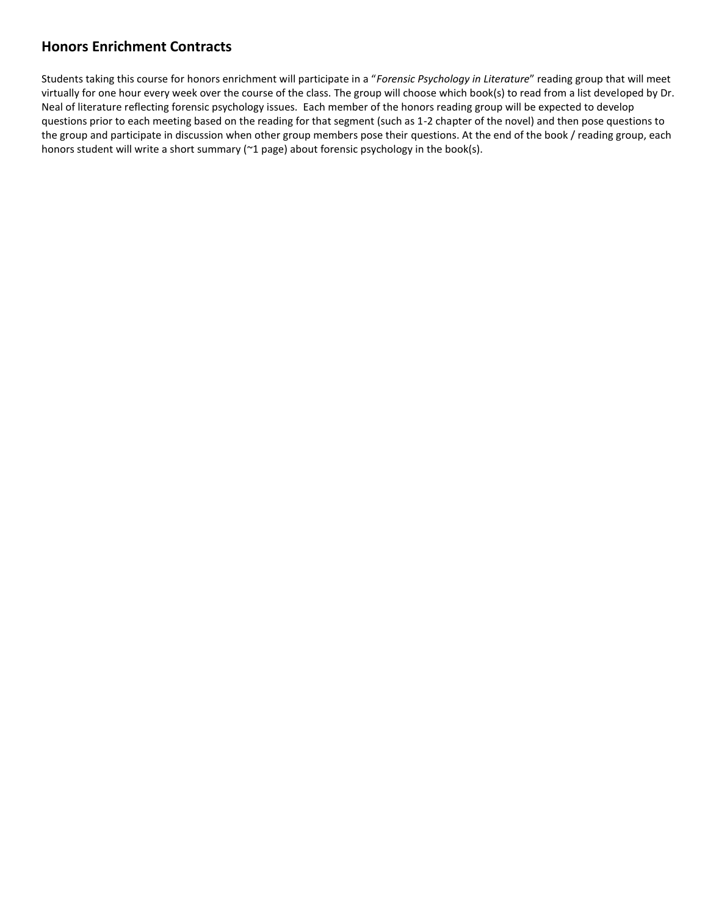# **Honors Enrichment Contracts**

Students taking this course for honors enrichment will participate in a "*Forensic Psychology in Literature*" reading group that will meet virtually for one hour every week over the course of the class. The group will choose which book(s) to read from a list developed by Dr. Neal of literature reflecting forensic psychology issues. Each member of the honors reading group will be expected to develop questions prior to each meeting based on the reading for that segment (such as 1-2 chapter of the novel) and then pose questions to the group and participate in discussion when other group members pose their questions. At the end of the book / reading group, each honors student will write a short summary (~1 page) about forensic psychology in the book(s).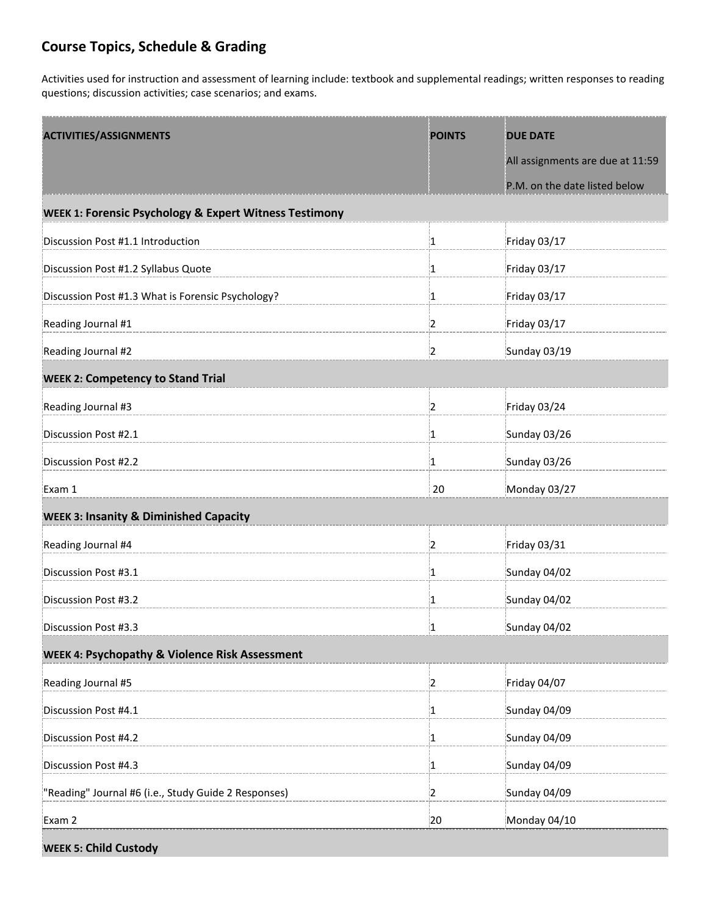# **Course Topics, Schedule & Grading**

Activities used for instruction and assessment of learning include: textbook and supplemental readings; written responses to reading questions; discussion activities; case scenarios; and exams.

| <b>ACTIVITIES/ASSIGNMENTS</b>                                     | <b>POINTS</b>  | <b>DUE DATE</b>                  |
|-------------------------------------------------------------------|----------------|----------------------------------|
|                                                                   |                | All assignments are due at 11:59 |
|                                                                   |                | P.M. on the date listed below    |
| <b>WEEK 1: Forensic Psychology &amp; Expert Witness Testimony</b> |                |                                  |
| Discussion Post #1.1 Introduction                                 | 11             | Friday 03/17                     |
| Discussion Post #1.2 Syllabus Quote                               | $\mathbf{1}$   | Friday 03/17                     |
| Discussion Post #1.3 What is Forensic Psychology?                 | 1              | Friday 03/17                     |
| Reading Journal #1                                                | $\overline{2}$ | Friday 03/17                     |
| Reading Journal #2                                                | 2              | Sunday 03/19                     |
| <b>WEEK 2: Competency to Stand Trial</b>                          |                |                                  |
| Reading Journal #3                                                | 12.            | Friday 03/24                     |
| Discussion Post #2.1                                              | i1.            | Sunday 03/26                     |
| Discussion Post #2.2                                              | 11             | Sunday 03/26                     |
| Exam 1                                                            | 20             | Monday 03/27                     |
| <b>WEEK 3: Insanity &amp; Diminished Capacity</b>                 |                |                                  |
| Reading Journal #4                                                | $\overline{2}$ | Friday 03/31                     |
| Discussion Post #3.1                                              | 1              | Sunday 04/02                     |
| Discussion Post #3.2                                              | i1             | Sunday 04/02                     |
| Discussion Post #3.3                                              | 1              | Sunday 04/02                     |
| <b>WEEK 4: Psychopathy &amp; Violence Risk Assessment</b>         |                |                                  |
| Reading Journal #5                                                | 12             | Friday 04/07                     |
| Discussion Post #4.1                                              | 11             | Sunday 04/09                     |
| Discussion Post #4.2                                              | 1              | Sunday 04/09                     |
| Discussion Post #4.3                                              | 11             | Sunday 04/09                     |
| "Reading" Journal #6 (i.e., Study Guide 2 Responses)              | 2              | Sunday 04/09                     |
| Exam 2                                                            | 20             | Monday 04/10                     |

**WEEK 5: Child Custody**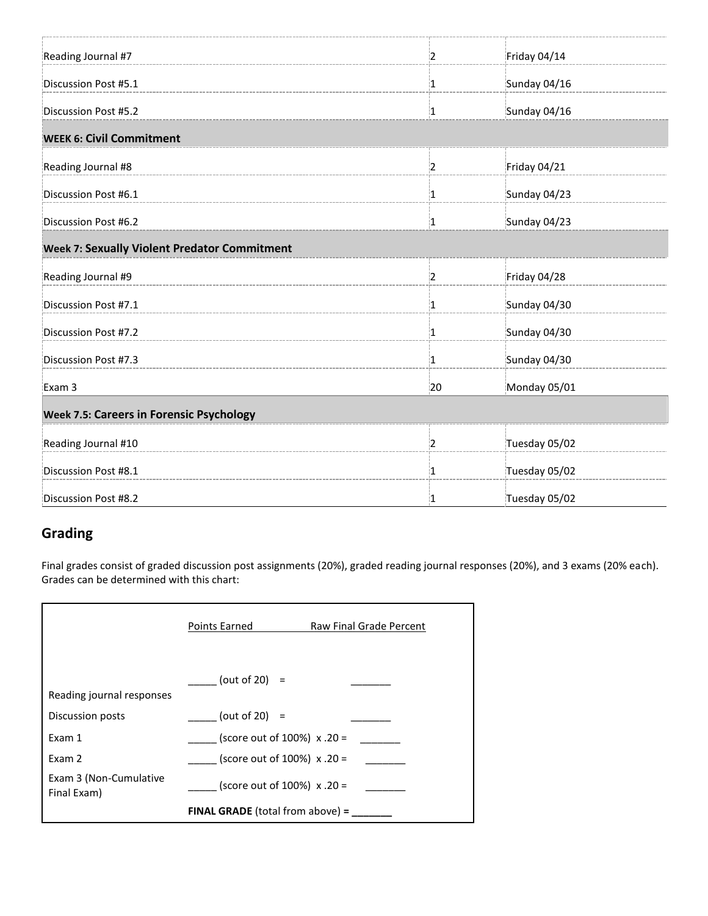| Reading Journal #7                              | i2             | Friday 04/14  |
|-------------------------------------------------|----------------|---------------|
| Discussion Post #5.1                            | 11             | Sunday 04/16  |
| Discussion Post #5.2                            | 1              | Sunday 04/16  |
| <b>WEEK 6: Civil Commitment</b>                 |                |               |
| Reading Journal #8                              | $\overline{2}$ | Friday 04/21  |
| Discussion Post #6.1                            | 11             | Sunday 04/23  |
| Discussion Post #6.2                            | 11             | Sunday 04/23  |
| Week 7: Sexually Violent Predator Commitment    |                |               |
| Reading Journal #9                              | 12.            | Friday 04/28  |
| Discussion Post #7.1                            | 1              | Sunday 04/30  |
| Discussion Post #7.2                            | i1             | Sunday 04/30  |
| Discussion Post #7.3                            | 11             | Sunday 04/30  |
| Exam 3                                          | 20             | Monday 05/01  |
| <b>Week 7.5: Careers in Forensic Psychology</b> |                |               |
| Reading Journal #10                             | i2             | Tuesday 05/02 |
| Discussion Post #8.1                            | 1              | Tuesday 05/02 |
| Discussion Post #8.2                            | i1             | Tuesday 05/02 |

# **Grading**

г

Final grades consist of graded discussion post assignments (20%), graded reading journal responses (20%), and 3 exams (20% each). Grades can be determined with this chart:

|                                       | Points Earned                           | Raw Final Grade Percent |
|---------------------------------------|-----------------------------------------|-------------------------|
| Reading journal responses             | (out of 20) $=$                         |                         |
| Discussion posts                      | (out of 20) $=$                         |                         |
| Exam 1                                | (score out of $100\%$ ) x .20 =         |                         |
| Exam 2                                | (score out of $100\%$ ) x .20 =         |                         |
| Exam 3 (Non-Cumulative<br>Final Exam) | (score out of $100\%$ ) x .20 =         |                         |
|                                       | <b>FINAL GRADE</b> (total from above) = |                         |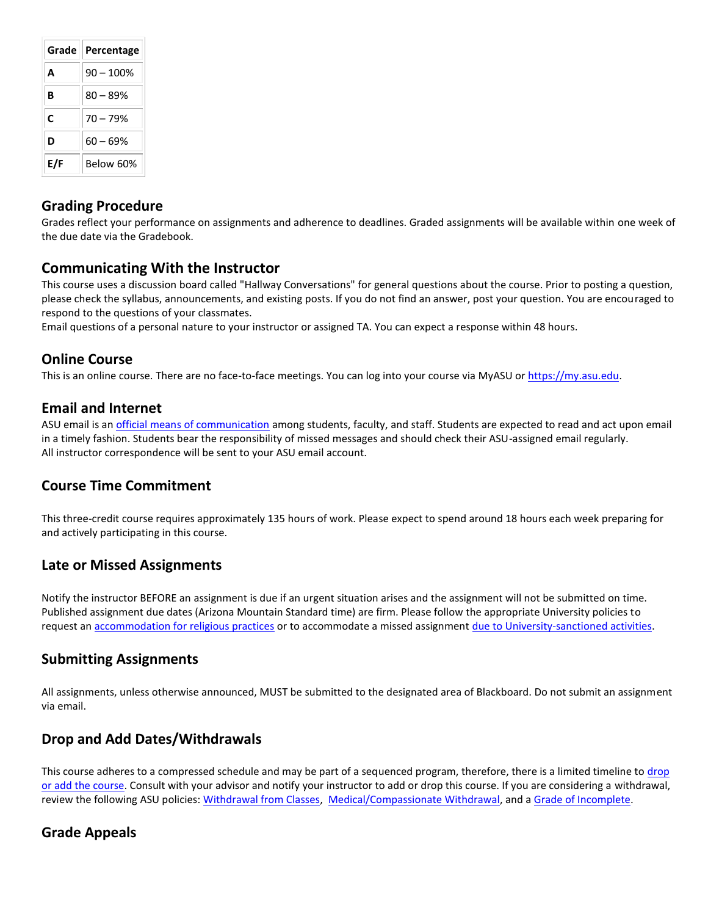| Grade | Percentage |
|-------|------------|
| А     | 90 – 100%  |
| в     | $80 - 89%$ |
| C     | 70 – 79%   |
| D     | $60 - 69%$ |
| E/F   | Below 60%  |

## **Grading Procedure**

Grades reflect your performance on assignments and adherence to deadlines. Graded assignments will be available within one week of the due date via the Gradebook.

## **Communicating With the Instructor**

This course uses a discussion board called "Hallway Conversations" for general questions about the course. Prior to posting a question, please check the syllabus, announcements, and existing posts. If you do not find an answer, post your question. You are encouraged to respond to the questions of your classmates.

Email questions of a personal nature to your instructor or assigned TA. You can expect a response within 48 hours.

## **Online Course**

This is an online course. There are no face-to-face meetings. You can log into your course via MyASU o[r https://my.asu.edu.](http://ecollege.asu.edu/)

## **Email and Internet**

ASU email is an *official means of communication* among students, faculty, and staff. Students are expected to read and act upon email in a timely fashion. Students bear the responsibility of missed messages and should check their ASU-assigned email regularly. All instructor correspondence will be sent to your ASU email account.

# **Course Time Commitment**

This three-credit course requires approximately 135 hours of work. Please expect to spend around 18 hours each week preparing for and actively participating in this course.

## **Late or Missed Assignments**

Notify the instructor BEFORE an assignment is due if an urgent situation arises and the assignment will not be submitted on time. Published assignment due dates (Arizona Mountain Standard time) are firm. Please follow the appropriate University policies to request an [accommodation for religious practices](http://www.asu.edu/aad/manuals/acd/acd304-04.html) or to accommodate a missed assignment [due to University-sanctioned activities.](http://www.asu.edu/aad/manuals/acd/acd304-02.html)

## **Submitting Assignments**

All assignments, unless otherwise announced, MUST be submitted to the designated area of Blackboard. Do not submit an assignment via email.

# **Drop and Add Dates/Withdrawals**

This course adheres to a compressed schedule and may be part of a sequenced program, therefore, there is a limited timeline to drop [or add the course.](https://students.asu.edu/academic-calendar) Consult with your advisor and notify your instructor to add or drop this course. If you are considering a withdrawal, review the following ASU policies: [Withdrawal from Classes,](http://www.asu.edu/aad/manuals/ssm/ssm201-08.html) [Medical/Compassionate Withdrawal,](http://www.asu.edu/aad/manuals/ssm/ssm201-09.html) and [a Grade of Incomplete.](http://www.asu.edu/aad/manuals/ssm/ssm203-09.html)

# **Grade Appeals**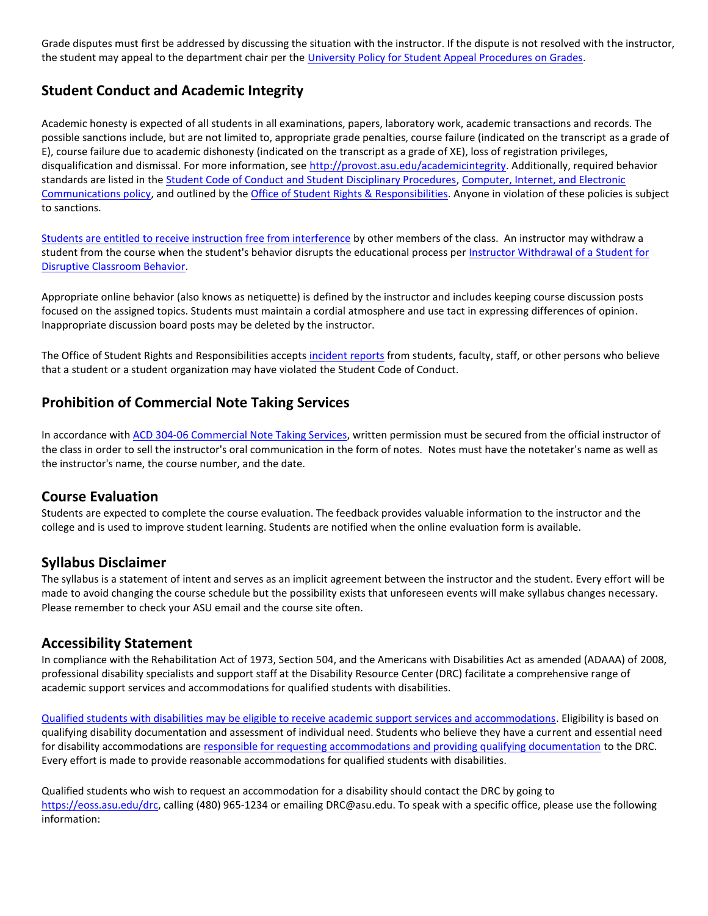Grade disputes must first be addressed by discussing the situation with the instructor. If the dispute is not resolved with the instructor, the student may appeal to the department chair per the [University Policy for Student Appeal Procedures on Grades.](https://catalog.asu.edu/appeal)

# **Student Conduct and Academic Integrity**

Academic honesty is expected of all students in all examinations, papers, laboratory work, academic transactions and records. The possible sanctions include, but are not limited to, appropriate grade penalties, course failure (indicated on the transcript as a grade of E), course failure due to academic dishonesty (indicated on the transcript as a grade of XE), loss of registration privileges, disqualification and dismissal. For more information, see [http://provost.asu.edu/academicintegrity.](http://provost.asu.edu/academicintegrity) Additionally, required behavior standards are listed in the [Student Code of Conduct and Student Disciplinary Procedures,](http://www.asu.edu/aad/manuals/ssm/ssm104-01.html) [Computer, Internet, and Electronic](http://www.asu.edu/aad/manuals/acd/acd125.html)  [Communications policy,](http://www.asu.edu/aad/manuals/acd/acd125.html) and outlined by the [Office of Student Rights & Responsibilities.](https://students.asu.edu/srr) Anyone in violation of these policies is subject to sanctions.

[Students are entitled to receive instruction free from interference](http://www.asu.edu/aad/manuals/ssm/ssm104-02.html) by other members of the class. An instructor may withdraw a student from the course when the student's behavior disrupts the educational process pe[r Instructor Withdrawal of a Student for](http://www.asu.edu/aad/manuals/usi/usi201-10.html)  [Disruptive Classroom Behavior.](http://www.asu.edu/aad/manuals/usi/usi201-10.html)

Appropriate online behavior (also knows as netiquette) is defined by the instructor and includes keeping course discussion posts focused on the assigned topics. Students must maintain a cordial atmosphere and use tact in expressing differences of opinion. Inappropriate discussion board posts may be deleted by the instructor.

The Office of Student Rights and Responsibilities accept[s incident reports](https://students.asu.edu/srr/report) from students, faculty, staff, or other persons who believe that a student or a student organization may have violated the Student Code of Conduct.

## **Prohibition of Commercial Note Taking Services**

In accordance with [ACD 304-06 Commercial Note Taking Services,](http://www.asu.edu/aad/manuals/acd/acd304-06.html) written permission must be secured from the official instructor of the class in order to sell the instructor's oral communication in the form of notes. Notes must have the notetaker's name as well as the instructor's name, the course number, and the date.

## **Course Evaluation**

Students are expected to complete the course evaluation. The feedback provides valuable information to the instructor and the college and is used to improve student learning. Students are notified when the online evaluation form is available.

## **Syllabus Disclaimer**

The syllabus is a statement of intent and serves as an implicit agreement between the instructor and the student. Every effort will be made to avoid changing the course schedule but the possibility exists that unforeseen events will make syllabus changes necessary. Please remember to check your ASU email and the course site often.

#### **Accessibility Statement**

In compliance with the Rehabilitation Act of 1973, Section 504, and the Americans with Disabilities Act as amended (ADAAA) of 2008, professional disability specialists and support staff at the Disability Resource Center (DRC) facilitate a comprehensive range of academic support services and accommodations for qualified students with disabilities.

[Qualified students with disabilities may be eligible to receive academic support services and accommodations.](http://www.asu.edu/aad/manuals/ssm/ssm701-01.html) Eligibility is based on qualifying disability documentation and assessment of individual need. Students who believe they have a current and essential need for disability accommodations are [responsible for requesting accommodations and providing qualifying documentation](http://www.asu.edu/aad/manuals/ssm/ssm701-02.html) to the DRC. Every effort is made to provide reasonable accommodations for qualified students with disabilities.

Qualified students who wish to request an accommodation for a disability should contact the DRC by going to [https://eoss.asu.edu/drc,](https://eoss.asu.edu/drc) calling (480) 965-1234 or emailing DRC@asu.edu. To speak with a specific office, please use the following information: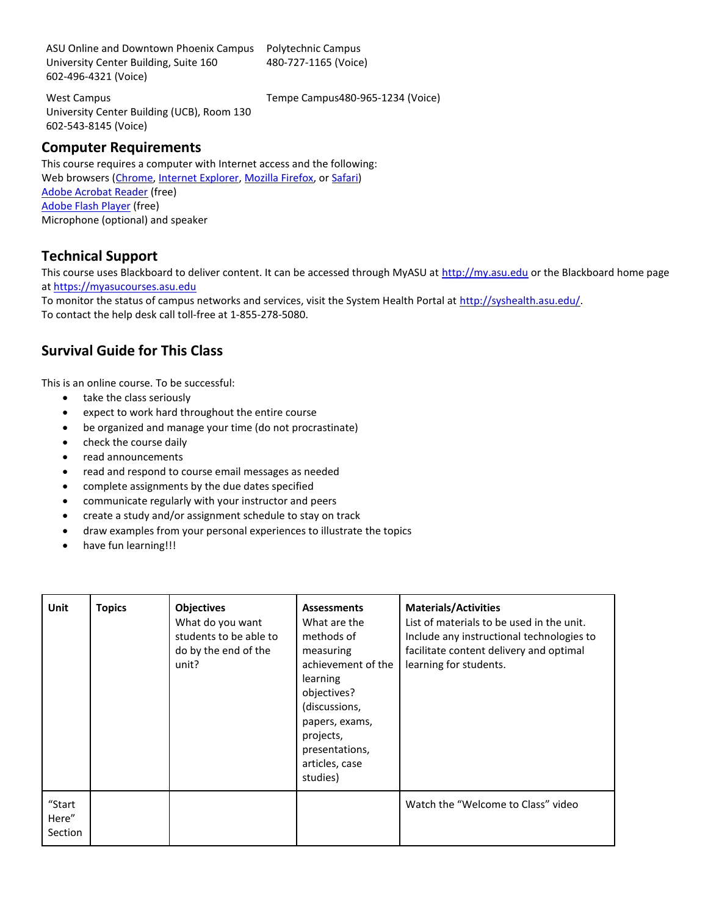ASU Online and Downtown Phoenix Campus University Center Building, Suite 160 602-496-4321 (Voice)

Polytechnic Campus 480-727-1165 (Voice)

West Campus University Center Building (UCB), Room 130 602-543-8145 (Voice)

#### **Computer Requirements**

This course requires a computer with Internet access and the following: Web browsers [\(Chrome,](https://www.google.com/chrome) [Internet Explorer,](http://windows.microsoft.com/en-us/internet-explorer/products/ie/home) [Mozilla Firefox,](http://www.mozilla.org/en-US/firefox/new/) or [Safari\)](http://www.apple.com/safari/) [Adobe Acrobat Reader](http://get.adobe.com/reader/) (free) [Adobe Flash Player](http://get.adobe.com/flashplayer/) (free) Microphone (optional) and speaker

## **Technical Support**

This course uses Blackboard to deliver content. It can be accessed through MyASU at [http://my.asu.edu](http://my.asu.edu/) or the Blackboard home page a[t https://myasucourses.asu.edu](https://myasucourses.asu.edu/)

Tempe Campus480-965-1234 (Voice)

To monitor the status of campus networks and services, visit the System Health Portal a[t http://syshealth.asu.edu/.](http://syshealth.asu.edu/) To contact the help desk call toll-free at 1-855-278-5080.

## **Survival Guide for This Class**

This is an online course. To be successful:

- take the class seriously
- expect to work hard throughout the entire course
- be organized and manage your time (do not procrastinate)
- check the course daily
- read announcements
- read and respond to course email messages as needed
- complete assignments by the due dates specified
- communicate regularly with your instructor and peers
- create a study and/or assignment schedule to stay on track
- draw examples from your personal experiences to illustrate the topics
- have fun learning!!!

| Unit                       | <b>Topics</b> | <b>Objectives</b><br>What do you want<br>students to be able to<br>do by the end of the<br>unit? | <b>Assessments</b><br>What are the<br>methods of<br>measuring<br>achievement of the<br>learning<br>objectives?<br>(discussions,<br>papers, exams,<br>projects,<br>presentations,<br>articles, case<br>studies) | <b>Materials/Activities</b><br>List of materials to be used in the unit.<br>Include any instructional technologies to<br>facilitate content delivery and optimal<br>learning for students. |
|----------------------------|---------------|--------------------------------------------------------------------------------------------------|----------------------------------------------------------------------------------------------------------------------------------------------------------------------------------------------------------------|--------------------------------------------------------------------------------------------------------------------------------------------------------------------------------------------|
| "Start<br>Here"<br>Section |               |                                                                                                  |                                                                                                                                                                                                                | Watch the "Welcome to Class" video                                                                                                                                                         |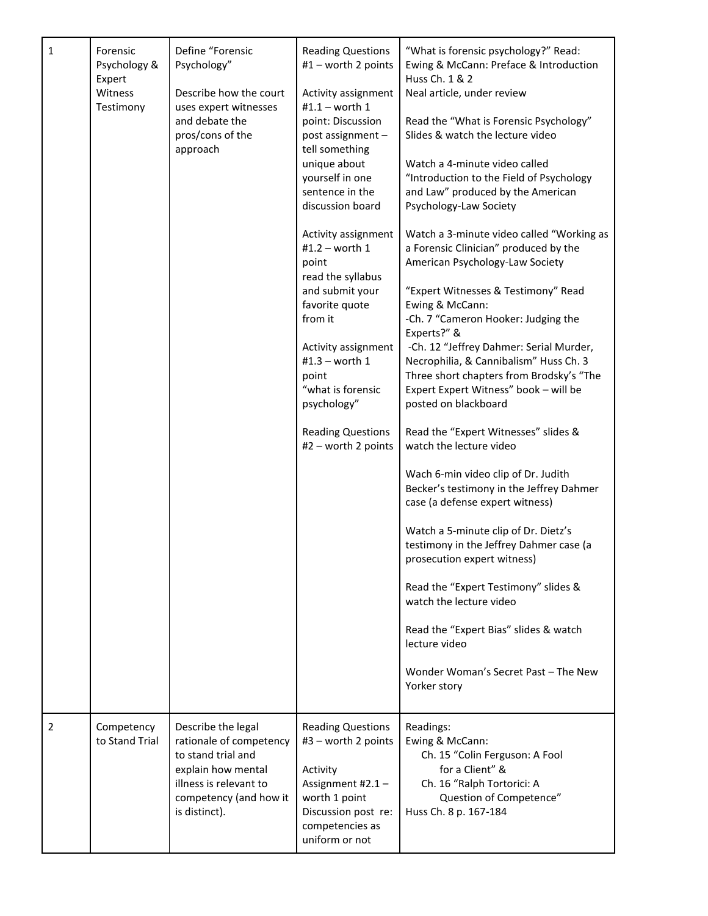| $\mathbf{1}$ | Forensic<br>Psychology &<br>Expert<br>Witness<br>Testimony | Define "Forensic<br>Psychology"<br>Describe how the court<br>uses expert witnesses<br>and debate the<br>pros/cons of the<br>approach                           | <b>Reading Questions</b><br>#1 - worth 2 points<br>Activity assignment<br>#1.1 – worth 1<br>point: Discussion<br>post assignment -<br>tell something<br>unique about<br>yourself in one<br>sentence in the<br>discussion board<br>Activity assignment<br>#1.2 – worth 1<br>point<br>read the syllabus<br>and submit your<br>favorite quote<br>from it<br>Activity assignment<br>#1.3 - worth $1$<br>point<br>"what is forensic<br>psychology"<br><b>Reading Questions</b><br>#2 - worth 2 points | "What is forensic psychology?" Read:<br>Ewing & McCann: Preface & Introduction<br>Huss Ch. 1 & 2<br>Neal article, under review<br>Read the "What is Forensic Psychology"<br>Slides & watch the lecture video<br>Watch a 4-minute video called<br>"Introduction to the Field of Psychology<br>and Law" produced by the American<br>Psychology-Law Society<br>Watch a 3-minute video called "Working as<br>a Forensic Clinician" produced by the<br>American Psychology-Law Society<br>"Expert Witnesses & Testimony" Read<br>Ewing & McCann:<br>-Ch. 7 "Cameron Hooker: Judging the<br>Experts?" &<br>-Ch. 12 "Jeffrey Dahmer: Serial Murder,<br>Necrophilia, & Cannibalism" Huss Ch. 3<br>Three short chapters from Brodsky's "The<br>Expert Expert Witness" book - will be<br>posted on blackboard<br>Read the "Expert Witnesses" slides &<br>watch the lecture video<br>Wach 6-min video clip of Dr. Judith<br>Becker's testimony in the Jeffrey Dahmer<br>case (a defense expert witness)<br>Watch a 5-minute clip of Dr. Dietz's<br>testimony in the Jeffrey Dahmer case (a<br>prosecution expert witness)<br>Read the "Expert Testimony" slides &<br>watch the lecture video<br>Read the "Expert Bias" slides & watch<br>lecture video<br>Wonder Woman's Secret Past - The New<br>Yorker story |
|--------------|------------------------------------------------------------|----------------------------------------------------------------------------------------------------------------------------------------------------------------|--------------------------------------------------------------------------------------------------------------------------------------------------------------------------------------------------------------------------------------------------------------------------------------------------------------------------------------------------------------------------------------------------------------------------------------------------------------------------------------------------|-----------------------------------------------------------------------------------------------------------------------------------------------------------------------------------------------------------------------------------------------------------------------------------------------------------------------------------------------------------------------------------------------------------------------------------------------------------------------------------------------------------------------------------------------------------------------------------------------------------------------------------------------------------------------------------------------------------------------------------------------------------------------------------------------------------------------------------------------------------------------------------------------------------------------------------------------------------------------------------------------------------------------------------------------------------------------------------------------------------------------------------------------------------------------------------------------------------------------------------------------------------------------------------------------------|
| 2            | Competency<br>to Stand Trial                               | Describe the legal<br>rationale of competency<br>to stand trial and<br>explain how mental<br>illness is relevant to<br>competency (and how it<br>is distinct). | <b>Reading Questions</b><br>#3 - worth 2 points<br>Activity<br>Assignment #2.1 -<br>worth 1 point<br>Discussion post re:<br>competencies as<br>uniform or not                                                                                                                                                                                                                                                                                                                                    | Readings:<br>Ewing & McCann:<br>Ch. 15 "Colin Ferguson: A Fool<br>for a Client" &<br>Ch. 16 "Ralph Tortorici: A<br>Question of Competence"<br>Huss Ch. 8 p. 167-184                                                                                                                                                                                                                                                                                                                                                                                                                                                                                                                                                                                                                                                                                                                                                                                                                                                                                                                                                                                                                                                                                                                                 |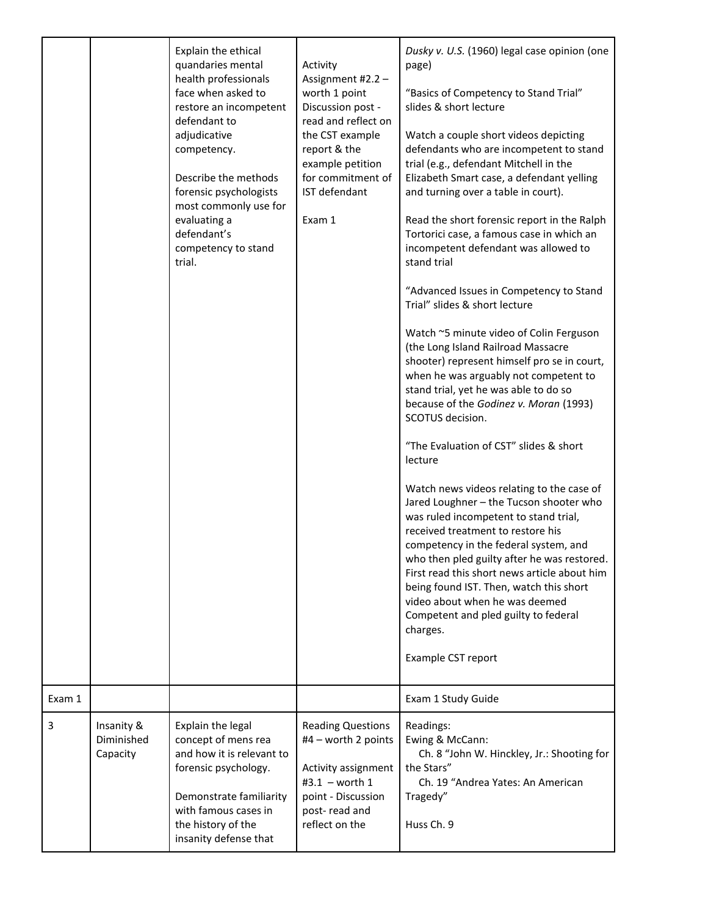|        |                                      | Explain the ethical<br>quandaries mental<br>health professionals<br>face when asked to<br>restore an incompetent<br>defendant to<br>adjudicative<br>competency.<br>Describe the methods<br>forensic psychologists<br>most commonly use for<br>evaluating a<br>defendant's<br>competency to stand<br>trial. | Activity<br>Assignment #2.2 -<br>worth 1 point<br>Discussion post -<br>read and reflect on<br>the CST example<br>report & the<br>example petition<br>for commitment of<br>IST defendant<br>Exam 1 | Dusky v. U.S. (1960) legal case opinion (one<br>page)<br>"Basics of Competency to Stand Trial"<br>slides & short lecture<br>Watch a couple short videos depicting<br>defendants who are incompetent to stand<br>trial (e.g., defendant Mitchell in the<br>Elizabeth Smart case, a defendant yelling<br>and turning over a table in court).<br>Read the short forensic report in the Ralph<br>Tortorici case, a famous case in which an<br>incompetent defendant was allowed to<br>stand trial<br>"Advanced Issues in Competency to Stand<br>Trial" slides & short lecture<br>Watch ~5 minute video of Colin Ferguson<br>(the Long Island Railroad Massacre<br>shooter) represent himself pro se in court,<br>when he was arguably not competent to<br>stand trial, yet he was able to do so<br>because of the Godinez v. Moran (1993)<br>SCOTUS decision.<br>"The Evaluation of CST" slides & short<br>lecture<br>Watch news videos relating to the case of<br>Jared Loughner - the Tucson shooter who<br>was ruled incompetent to stand trial,<br>received treatment to restore his<br>competency in the federal system, and<br>who then pled guilty after he was restored.<br>First read this short news article about him<br>being found IST. Then, watch this short<br>video about when he was deemed<br>Competent and pled guilty to federal<br>charges.<br>Example CST report |
|--------|--------------------------------------|------------------------------------------------------------------------------------------------------------------------------------------------------------------------------------------------------------------------------------------------------------------------------------------------------------|---------------------------------------------------------------------------------------------------------------------------------------------------------------------------------------------------|-------------------------------------------------------------------------------------------------------------------------------------------------------------------------------------------------------------------------------------------------------------------------------------------------------------------------------------------------------------------------------------------------------------------------------------------------------------------------------------------------------------------------------------------------------------------------------------------------------------------------------------------------------------------------------------------------------------------------------------------------------------------------------------------------------------------------------------------------------------------------------------------------------------------------------------------------------------------------------------------------------------------------------------------------------------------------------------------------------------------------------------------------------------------------------------------------------------------------------------------------------------------------------------------------------------------------------------------------------------------------------------|
| Exam 1 |                                      |                                                                                                                                                                                                                                                                                                            |                                                                                                                                                                                                   | Exam 1 Study Guide                                                                                                                                                                                                                                                                                                                                                                                                                                                                                                                                                                                                                                                                                                                                                                                                                                                                                                                                                                                                                                                                                                                                                                                                                                                                                                                                                                  |
| 3      | Insanity &<br>Diminished<br>Capacity | Explain the legal<br>concept of mens rea<br>and how it is relevant to<br>forensic psychology.<br>Demonstrate familiarity<br>with famous cases in<br>the history of the<br>insanity defense that                                                                                                            | <b>Reading Questions</b><br>#4 - worth 2 points<br>Activity assignment<br>#3.1 $-$ worth 1<br>point - Discussion<br>post-read and<br>reflect on the                                               | Readings:<br>Ewing & McCann:<br>Ch. 8 "John W. Hinckley, Jr.: Shooting for<br>the Stars"<br>Ch. 19 "Andrea Yates: An American<br>Tragedy"<br>Huss Ch. 9                                                                                                                                                                                                                                                                                                                                                                                                                                                                                                                                                                                                                                                                                                                                                                                                                                                                                                                                                                                                                                                                                                                                                                                                                             |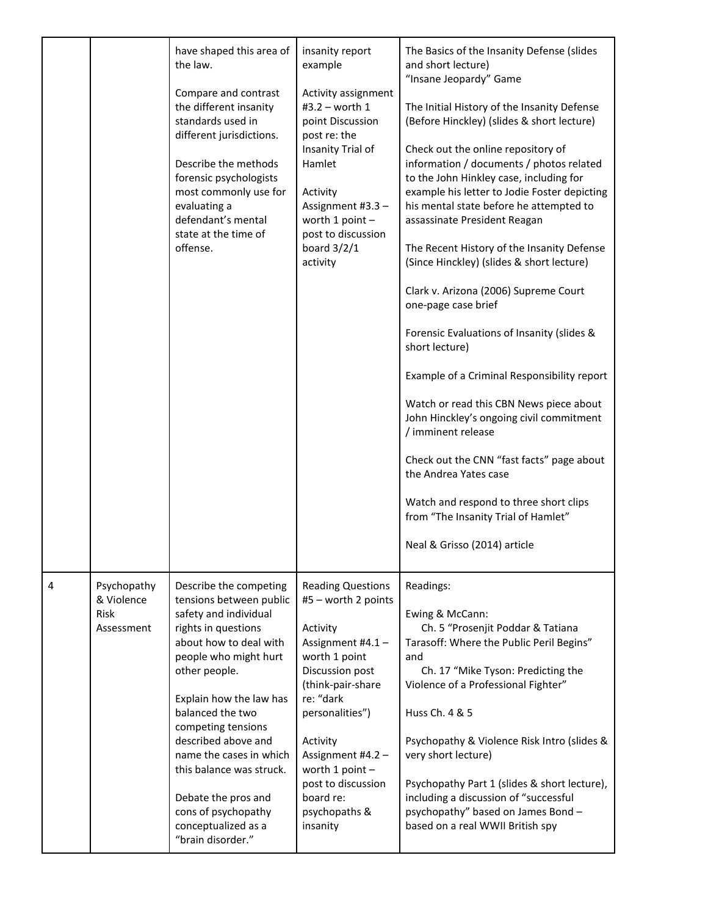|   |                                                        | have shaped this area of<br>the law.<br>Compare and contrast<br>the different insanity<br>standards used in<br>different jurisdictions.<br>Describe the methods<br>forensic psychologists<br>most commonly use for<br>evaluating a<br>defendant's mental<br>state at the time of<br>offense.                                                                                                                       | insanity report<br>example<br>Activity assignment<br>#3.2 – worth $1$<br>point Discussion<br>post re: the<br>Insanity Trial of<br>Hamlet<br>Activity<br>Assignment #3.3 -<br>worth 1 point -<br>post to discussion<br>board $3/2/1$<br>activity                                               | The Basics of the Insanity Defense (slides<br>and short lecture)<br>"Insane Jeopardy" Game<br>The Initial History of the Insanity Defense<br>(Before Hinckley) (slides & short lecture)<br>Check out the online repository of<br>information / documents / photos related<br>to the John Hinkley case, including for<br>example his letter to Jodie Foster depicting<br>his mental state before he attempted to<br>assassinate President Reagan<br>The Recent History of the Insanity Defense<br>(Since Hinckley) (slides & short lecture)<br>Clark v. Arizona (2006) Supreme Court<br>one-page case brief<br>Forensic Evaluations of Insanity (slides &<br>short lecture)<br>Example of a Criminal Responsibility report<br>Watch or read this CBN News piece about<br>John Hinckley's ongoing civil commitment<br>/ imminent release<br>Check out the CNN "fast facts" page about<br>the Andrea Yates case<br>Watch and respond to three short clips<br>from "The Insanity Trial of Hamlet"<br>Neal & Grisso (2014) article |
|---|--------------------------------------------------------|--------------------------------------------------------------------------------------------------------------------------------------------------------------------------------------------------------------------------------------------------------------------------------------------------------------------------------------------------------------------------------------------------------------------|-----------------------------------------------------------------------------------------------------------------------------------------------------------------------------------------------------------------------------------------------------------------------------------------------|-------------------------------------------------------------------------------------------------------------------------------------------------------------------------------------------------------------------------------------------------------------------------------------------------------------------------------------------------------------------------------------------------------------------------------------------------------------------------------------------------------------------------------------------------------------------------------------------------------------------------------------------------------------------------------------------------------------------------------------------------------------------------------------------------------------------------------------------------------------------------------------------------------------------------------------------------------------------------------------------------------------------------------|
| 4 | Psychopathy<br>& Violence<br><b>Risk</b><br>Assessment | Describe the competing<br>tensions between public<br>safety and individual<br>rights in questions<br>about how to deal with<br>people who might hurt<br>other people.<br>Explain how the law has<br>balanced the two<br>competing tensions<br>described above and<br>name the cases in which<br>this balance was struck.<br>Debate the pros and<br>cons of psychopathy<br>conceptualized as a<br>"brain disorder." | <b>Reading Questions</b><br>#5 - worth 2 points<br>Activity<br>Assignment #4.1 -<br>worth 1 point<br>Discussion post<br>(think-pair-share<br>re: "dark<br>personalities")<br>Activity<br>Assignment #4.2 -<br>worth 1 point -<br>post to discussion<br>board re:<br>psychopaths &<br>insanity | Readings:<br>Ewing & McCann:<br>Ch. 5 "Prosenjit Poddar & Tatiana<br>Tarasoff: Where the Public Peril Begins"<br>and<br>Ch. 17 "Mike Tyson: Predicting the<br>Violence of a Professional Fighter"<br>Huss Ch. 4 & 5<br>Psychopathy & Violence Risk Intro (slides &<br>very short lecture)<br>Psychopathy Part 1 (slides & short lecture),<br>including a discussion of "successful<br>psychopathy" based on James Bond -<br>based on a real WWII British spy                                                                                                                                                                                                                                                                                                                                                                                                                                                                                                                                                                  |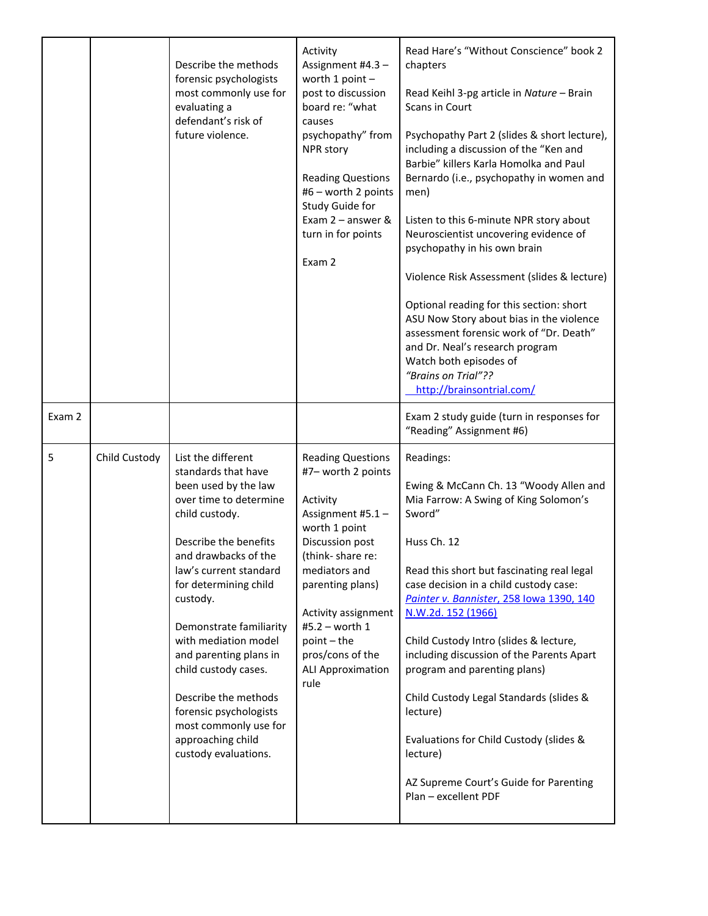|        |               | Describe the methods<br>forensic psychologists<br>most commonly use for<br>evaluating a<br>defendant's risk of<br>future violence.                                                                                                                                                                                                                                                                                                                         | Activity<br>Assignment #4.3 -<br>worth 1 point $-$<br>post to discussion<br>board re: "what<br>causes<br>psychopathy" from<br><b>NPR</b> story<br><b>Reading Questions</b><br>#6 - worth 2 points<br>Study Guide for<br>Exam 2 - answer &<br>turn in for points<br>Exam 2                    | Read Hare's "Without Conscience" book 2<br>chapters<br>Read Keihl 3-pg article in Nature - Brain<br>Scans in Court<br>Psychopathy Part 2 (slides & short lecture),<br>including a discussion of the "Ken and<br>Barbie" killers Karla Homolka and Paul<br>Bernardo (i.e., psychopathy in women and<br>men)<br>Listen to this 6-minute NPR story about<br>Neuroscientist uncovering evidence of<br>psychopathy in his own brain<br>Violence Risk Assessment (slides & lecture)<br>Optional reading for this section: short<br>ASU Now Story about bias in the violence<br>assessment forensic work of "Dr. Death"<br>and Dr. Neal's research program<br>Watch both episodes of<br>"Brains on Trial"??<br>http://brainsontrial.com/ |
|--------|---------------|------------------------------------------------------------------------------------------------------------------------------------------------------------------------------------------------------------------------------------------------------------------------------------------------------------------------------------------------------------------------------------------------------------------------------------------------------------|----------------------------------------------------------------------------------------------------------------------------------------------------------------------------------------------------------------------------------------------------------------------------------------------|-----------------------------------------------------------------------------------------------------------------------------------------------------------------------------------------------------------------------------------------------------------------------------------------------------------------------------------------------------------------------------------------------------------------------------------------------------------------------------------------------------------------------------------------------------------------------------------------------------------------------------------------------------------------------------------------------------------------------------------|
| Exam 2 |               |                                                                                                                                                                                                                                                                                                                                                                                                                                                            |                                                                                                                                                                                                                                                                                              | Exam 2 study guide (turn in responses for<br>"Reading" Assignment #6)                                                                                                                                                                                                                                                                                                                                                                                                                                                                                                                                                                                                                                                             |
| 5      | Child Custody | List the different<br>standards that have<br>been used by the law<br>over time to determine<br>child custody.<br>Describe the benefits<br>and drawbacks of the<br>law's current standard<br>for determining child<br>custody.<br>Demonstrate familiarity<br>with mediation model<br>and parenting plans in<br>child custody cases.<br>Describe the methods<br>forensic psychologists<br>most commonly use for<br>approaching child<br>custody evaluations. | <b>Reading Questions</b><br>#7- worth 2 points<br>Activity<br>Assignment #5.1 -<br>worth 1 point<br>Discussion post<br>(think-share re:<br>mediators and<br>parenting plans)<br>Activity assignment<br>#5.2 - worth 1<br>point - the<br>pros/cons of the<br><b>ALI Approximation</b><br>rule | Readings:<br>Ewing & McCann Ch. 13 "Woody Allen and<br>Mia Farrow: A Swing of King Solomon's<br>Sword"<br>Huss Ch. 12<br>Read this short but fascinating real legal<br>case decision in a child custody case:<br>Painter v. Bannister, 258 Iowa 1390, 140<br>N.W.2d. 152 (1966)<br>Child Custody Intro (slides & lecture,<br>including discussion of the Parents Apart<br>program and parenting plans)<br>Child Custody Legal Standards (slides &<br>lecture)<br>Evaluations for Child Custody (slides &<br>lecture)<br>AZ Supreme Court's Guide for Parenting<br>Plan - excellent PDF                                                                                                                                            |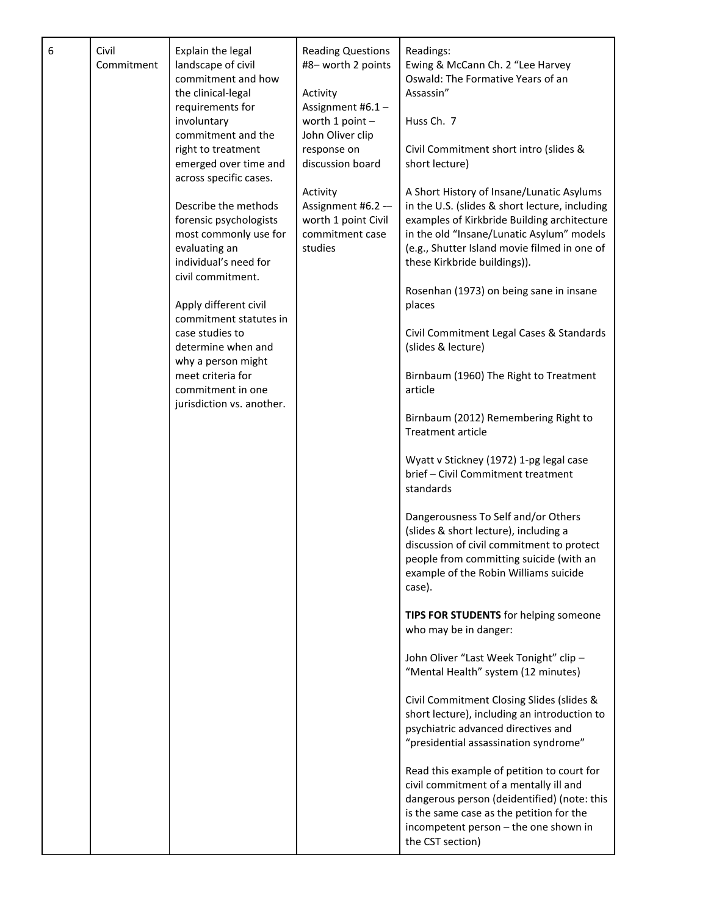|  | Commitment | landscape of civil<br>commitment and how<br>the clinical-legal<br>requirements for<br>involuntary<br>commitment and the<br>right to treatment<br>emerged over time and<br>across specific cases.<br>Describe the methods<br>forensic psychologists<br>most commonly use for<br>evaluating an<br>individual's need for<br>civil commitment.<br>Apply different civil<br>commitment statutes in<br>case studies to<br>determine when and<br>why a person might<br>meet criteria for<br>commitment in one<br>jurisdiction vs. another. | #8- worth 2 points<br>Activity<br>Assignment #6.1 -<br>worth 1 point -<br>John Oliver clip<br>response on<br>discussion board<br>Activity<br>Assignment #6.2 -<br>worth 1 point Civil<br>commitment case<br>studies | Ewing & McCann Ch. 2 "Lee Harvey<br>Oswald: The Formative Years of an<br>Assassin"<br>Huss Ch. 7<br>Civil Commitment short intro (slides &<br>short lecture)<br>A Short History of Insane/Lunatic Asylums<br>in the U.S. (slides & short lecture, including<br>examples of Kirkbride Building architecture<br>in the old "Insane/Lunatic Asylum" models<br>(e.g., Shutter Island movie filmed in one of<br>these Kirkbride buildings)).<br>Rosenhan (1973) on being sane in insane<br>places<br>Civil Commitment Legal Cases & Standards<br>(slides & lecture)<br>Birnbaum (1960) The Right to Treatment<br>article<br>Birnbaum (2012) Remembering Right to<br><b>Treatment article</b><br>Wyatt v Stickney (1972) 1-pg legal case<br>brief - Civil Commitment treatment<br>standards<br>Dangerousness To Self and/or Others<br>(slides & short lecture), including a<br>discussion of civil commitment to protect<br>people from committing suicide (with an<br>example of the Robin Williams suicide<br>case).<br>TIPS FOR STUDENTS for helping someone<br>who may be in danger:<br>John Oliver "Last Week Tonight" clip -<br>"Mental Health" system (12 minutes)<br>Civil Commitment Closing Slides (slides &<br>short lecture), including an introduction to<br>psychiatric advanced directives and<br>"presidential assassination syndrome"<br>Read this example of petition to court for<br>civil commitment of a mentally ill and<br>dangerous person (deidentified) (note: this<br>is the same case as the petition for the<br>incompetent person - the one shown in<br>the CST section) |
|--|------------|-------------------------------------------------------------------------------------------------------------------------------------------------------------------------------------------------------------------------------------------------------------------------------------------------------------------------------------------------------------------------------------------------------------------------------------------------------------------------------------------------------------------------------------|---------------------------------------------------------------------------------------------------------------------------------------------------------------------------------------------------------------------|--------------------------------------------------------------------------------------------------------------------------------------------------------------------------------------------------------------------------------------------------------------------------------------------------------------------------------------------------------------------------------------------------------------------------------------------------------------------------------------------------------------------------------------------------------------------------------------------------------------------------------------------------------------------------------------------------------------------------------------------------------------------------------------------------------------------------------------------------------------------------------------------------------------------------------------------------------------------------------------------------------------------------------------------------------------------------------------------------------------------------------------------------------------------------------------------------------------------------------------------------------------------------------------------------------------------------------------------------------------------------------------------------------------------------------------------------------------------------------------------------------------------------------------------------------------------------------------------------|
|--|------------|-------------------------------------------------------------------------------------------------------------------------------------------------------------------------------------------------------------------------------------------------------------------------------------------------------------------------------------------------------------------------------------------------------------------------------------------------------------------------------------------------------------------------------------|---------------------------------------------------------------------------------------------------------------------------------------------------------------------------------------------------------------------|--------------------------------------------------------------------------------------------------------------------------------------------------------------------------------------------------------------------------------------------------------------------------------------------------------------------------------------------------------------------------------------------------------------------------------------------------------------------------------------------------------------------------------------------------------------------------------------------------------------------------------------------------------------------------------------------------------------------------------------------------------------------------------------------------------------------------------------------------------------------------------------------------------------------------------------------------------------------------------------------------------------------------------------------------------------------------------------------------------------------------------------------------------------------------------------------------------------------------------------------------------------------------------------------------------------------------------------------------------------------------------------------------------------------------------------------------------------------------------------------------------------------------------------------------------------------------------------------------|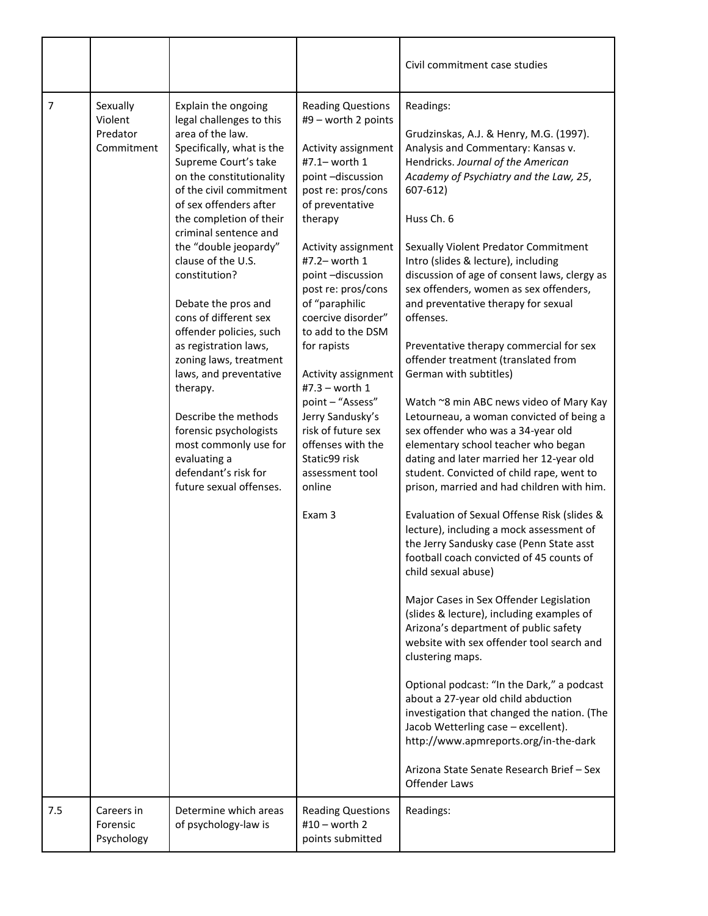|                |                                               |                                                                                                                                                                                                                                                                                                                                                                                                                                                                                                                                                                                                                                                 |                                                                                                                                                                                                                                                                                                                                                                                                                                                                                                                   | Civil commitment case studies                                                                                                                                                                                                                                                                                                                                                                                                                                                                                                                                                                                                                                                                                                                                                                                                                                                                                                                                                                                                                                                                                                                                                                                                                                                                                                                                                                                                                                                                                                                                    |
|----------------|-----------------------------------------------|-------------------------------------------------------------------------------------------------------------------------------------------------------------------------------------------------------------------------------------------------------------------------------------------------------------------------------------------------------------------------------------------------------------------------------------------------------------------------------------------------------------------------------------------------------------------------------------------------------------------------------------------------|-------------------------------------------------------------------------------------------------------------------------------------------------------------------------------------------------------------------------------------------------------------------------------------------------------------------------------------------------------------------------------------------------------------------------------------------------------------------------------------------------------------------|------------------------------------------------------------------------------------------------------------------------------------------------------------------------------------------------------------------------------------------------------------------------------------------------------------------------------------------------------------------------------------------------------------------------------------------------------------------------------------------------------------------------------------------------------------------------------------------------------------------------------------------------------------------------------------------------------------------------------------------------------------------------------------------------------------------------------------------------------------------------------------------------------------------------------------------------------------------------------------------------------------------------------------------------------------------------------------------------------------------------------------------------------------------------------------------------------------------------------------------------------------------------------------------------------------------------------------------------------------------------------------------------------------------------------------------------------------------------------------------------------------------------------------------------------------------|
| $\overline{7}$ | Sexually<br>Violent<br>Predator<br>Commitment | Explain the ongoing<br>legal challenges to this<br>area of the law.<br>Specifically, what is the<br>Supreme Court's take<br>on the constitutionality<br>of the civil commitment<br>of sex offenders after<br>the completion of their<br>criminal sentence and<br>the "double jeopardy"<br>clause of the U.S.<br>constitution?<br>Debate the pros and<br>cons of different sex<br>offender policies, such<br>as registration laws,<br>zoning laws, treatment<br>laws, and preventative<br>therapy.<br>Describe the methods<br>forensic psychologists<br>most commonly use for<br>evaluating a<br>defendant's risk for<br>future sexual offenses. | <b>Reading Questions</b><br>#9 - worth 2 points<br>Activity assignment<br>#7.1- worth 1<br>point-discussion<br>post re: pros/cons<br>of preventative<br>therapy<br>Activity assignment<br>#7.2- worth 1<br>point-discussion<br>post re: pros/cons<br>of "paraphilic<br>coercive disorder"<br>to add to the DSM<br>for rapists<br>Activity assignment<br>#7.3 - worth 1<br>point - "Assess"<br>Jerry Sandusky's<br>risk of future sex<br>offenses with the<br>Static99 risk<br>assessment tool<br>online<br>Exam 3 | Readings:<br>Grudzinskas, A.J. & Henry, M.G. (1997).<br>Analysis and Commentary: Kansas v.<br>Hendricks. Journal of the American<br>Academy of Psychiatry and the Law, 25,<br>$607 - 612$<br>Huss Ch. 6<br>Sexually Violent Predator Commitment<br>Intro (slides & lecture), including<br>discussion of age of consent laws, clergy as<br>sex offenders, women as sex offenders,<br>and preventative therapy for sexual<br>offenses.<br>Preventative therapy commercial for sex<br>offender treatment (translated from<br>German with subtitles)<br>Watch ~8 min ABC news video of Mary Kay<br>Letourneau, a woman convicted of being a<br>sex offender who was a 34-year old<br>elementary school teacher who began<br>dating and later married her 12-year old<br>student. Convicted of child rape, went to<br>prison, married and had children with him.<br>Evaluation of Sexual Offense Risk (slides &<br>lecture), including a mock assessment of<br>the Jerry Sandusky case (Penn State asst<br>football coach convicted of 45 counts of<br>child sexual abuse)<br>Major Cases in Sex Offender Legislation<br>(slides & lecture), including examples of<br>Arizona's department of public safety<br>website with sex offender tool search and<br>clustering maps.<br>Optional podcast: "In the Dark," a podcast<br>about a 27-year old child abduction<br>investigation that changed the nation. (The<br>Jacob Wetterling case - excellent).<br>http://www.apmreports.org/in-the-dark<br>Arizona State Senate Research Brief - Sex<br><b>Offender Laws</b> |
| 7.5            | Careers in<br>Forensic<br>Psychology          | Determine which areas<br>of psychology-law is                                                                                                                                                                                                                                                                                                                                                                                                                                                                                                                                                                                                   | <b>Reading Questions</b><br>#10 - worth 2<br>points submitted                                                                                                                                                                                                                                                                                                                                                                                                                                                     | Readings:                                                                                                                                                                                                                                                                                                                                                                                                                                                                                                                                                                                                                                                                                                                                                                                                                                                                                                                                                                                                                                                                                                                                                                                                                                                                                                                                                                                                                                                                                                                                                        |